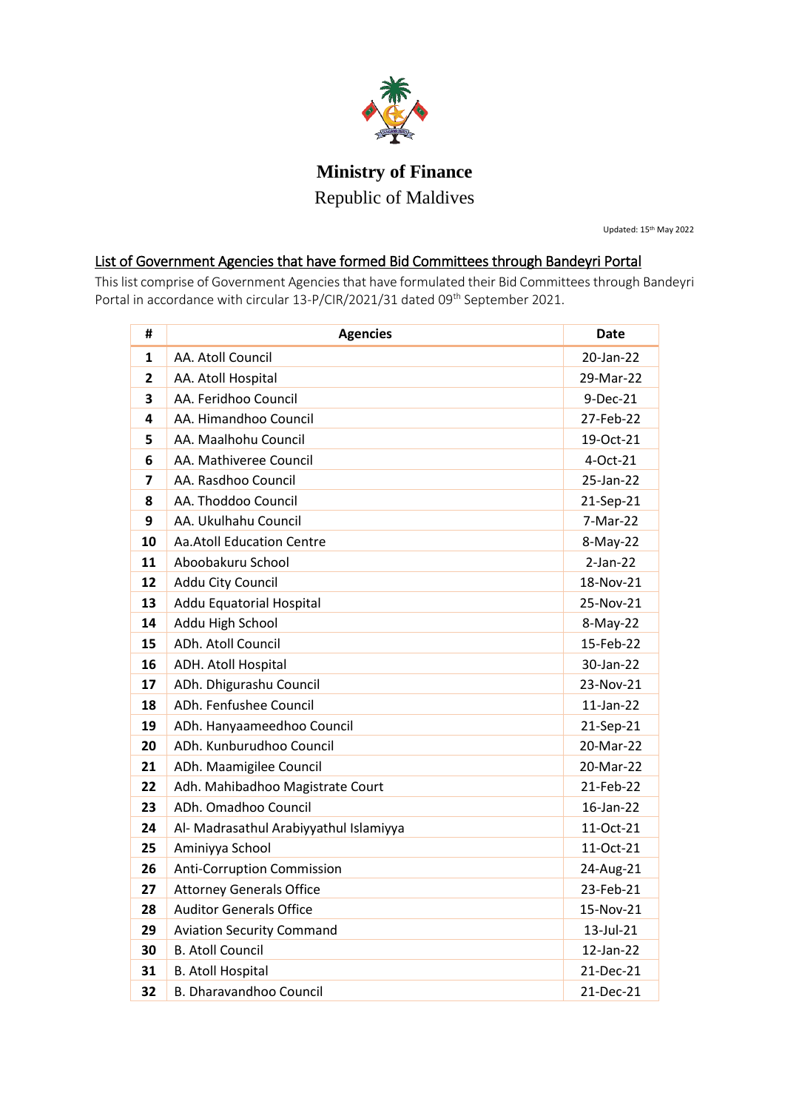

**Ministry of Finance** Republic of Maldives

Updated: 15th May 2022

## List of Government Agencies that have formed Bid Committees through Bandeyri Portal

This list comprise of Government Agencies that have formulated their Bid Committees through Bandeyri Portal in accordance with circular 13-P/CIR/2021/31 dated 09th September 2021.

| #            | <b>Agencies</b>                        | Date         |
|--------------|----------------------------------------|--------------|
| 1            | AA. Atoll Council                      | 20-Jan-22    |
| $\mathbf{2}$ | AA. Atoll Hospital                     | 29-Mar-22    |
| 3            | AA. Feridhoo Council                   | 9-Dec-21     |
| 4            | AA. Himandhoo Council                  | 27-Feb-22    |
| 5            | AA. Maalhohu Council                   | 19-Oct-21    |
| 6            | AA. Mathiveree Council                 | 4-Oct-21     |
| 7            | AA. Rasdhoo Council                    | 25-Jan-22    |
| 8            | AA. Thoddoo Council                    | 21-Sep-21    |
| 9            | AA. Ukulhahu Council                   | 7-Mar-22     |
| 10           | <b>Aa.Atoll Education Centre</b>       | 8-May-22     |
| 11           | Aboobakuru School                      | $2-Jan-22$   |
| 12           | Addu City Council                      | 18-Nov-21    |
| 13           | Addu Equatorial Hospital               | 25-Nov-21    |
| 14           | Addu High School                       | 8-May-22     |
| 15           | ADh. Atoll Council                     | 15-Feb-22    |
| 16           | ADH. Atoll Hospital                    | 30-Jan-22    |
| 17           | ADh. Dhigurashu Council                | 23-Nov-21    |
| 18           | ADh. Fenfushee Council                 | $11$ -Jan-22 |
| 19           | ADh. Hanyaameedhoo Council             | 21-Sep-21    |
| 20           | ADh. Kunburudhoo Council               | 20-Mar-22    |
| 21           | ADh. Maamigilee Council                | 20-Mar-22    |
| 22           | Adh. Mahibadhoo Magistrate Court       | 21-Feb-22    |
| 23           | ADh. Omadhoo Council                   | 16-Jan-22    |
| 24           | Al- Madrasathul Arabiyyathul Islamiyya | 11-Oct-21    |
| 25           | Aminiyya School                        | 11-Oct-21    |
| 26           | <b>Anti-Corruption Commission</b>      | 24-Aug-21    |
| 27           | <b>Attorney Generals Office</b>        | 23-Feb-21    |
| 28           | <b>Auditor Generals Office</b>         | 15-Nov-21    |
| 29           | <b>Aviation Security Command</b>       | 13-Jul-21    |
| 30           | <b>B. Atoll Council</b>                | 12-Jan-22    |
| 31           | <b>B. Atoll Hospital</b>               | 21-Dec-21    |
| 32           | <b>B. Dharavandhoo Council</b>         | 21-Dec-21    |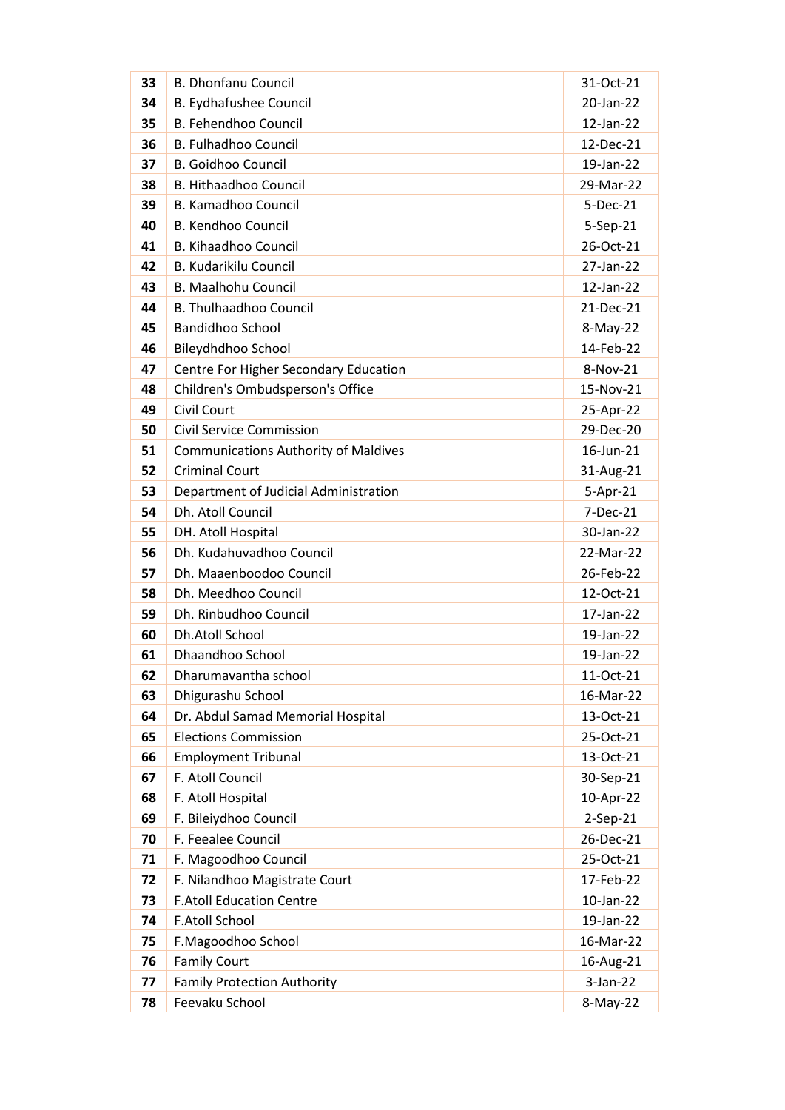| 33 | <b>B. Dhonfanu Council</b>                  | 31-Oct-21  |
|----|---------------------------------------------|------------|
| 34 | B. Eydhafushee Council                      | 20-Jan-22  |
| 35 | <b>B. Fehendhoo Council</b>                 | 12-Jan-22  |
| 36 | <b>B. Fulhadhoo Council</b>                 | 12-Dec-21  |
| 37 | <b>B. Goidhoo Council</b>                   | 19-Jan-22  |
| 38 | <b>B. Hithaadhoo Council</b>                | 29-Mar-22  |
| 39 | <b>B. Kamadhoo Council</b>                  | 5-Dec-21   |
| 40 | <b>B. Kendhoo Council</b>                   | 5-Sep-21   |
| 41 | <b>B. Kihaadhoo Council</b>                 | 26-Oct-21  |
| 42 | <b>B. Kudarikilu Council</b>                | 27-Jan-22  |
| 43 | <b>B. Maalhohu Council</b>                  | 12-Jan-22  |
| 44 | <b>B. Thulhaadhoo Council</b>               | 21-Dec-21  |
| 45 | <b>Bandidhoo School</b>                     | 8-May-22   |
| 46 | Bileydhdhoo School                          | 14-Feb-22  |
| 47 | Centre For Higher Secondary Education       | 8-Nov-21   |
| 48 | Children's Ombudsperson's Office            | 15-Nov-21  |
| 49 | <b>Civil Court</b>                          | 25-Apr-22  |
| 50 | <b>Civil Service Commission</b>             | 29-Dec-20  |
| 51 | <b>Communications Authority of Maldives</b> | 16-Jun-21  |
| 52 | <b>Criminal Court</b>                       | 31-Aug-21  |
| 53 | Department of Judicial Administration       | 5-Apr-21   |
| 54 | Dh. Atoll Council                           | 7-Dec-21   |
| 55 | DH. Atoll Hospital                          | 30-Jan-22  |
| 56 | Dh. Kudahuvadhoo Council                    | 22-Mar-22  |
| 57 | Dh. Maaenboodoo Council                     | 26-Feb-22  |
| 58 | Dh. Meedhoo Council                         | 12-Oct-21  |
| 59 | Dh. Rinbudhoo Council                       | 17-Jan-22  |
| 60 | Dh.Atoll School                             | 19-Jan-22  |
| 61 | Dhaandhoo School                            | 19-Jan-22  |
| 62 | Dharumavantha school                        | 11-Oct-21  |
| 63 | Dhigurashu School                           | 16-Mar-22  |
| 64 | Dr. Abdul Samad Memorial Hospital           | 13-Oct-21  |
| 65 | <b>Elections Commission</b>                 | 25-Oct-21  |
| 66 | <b>Employment Tribunal</b>                  | 13-Oct-21  |
| 67 | F. Atoll Council                            | 30-Sep-21  |
| 68 | F. Atoll Hospital                           | 10-Apr-22  |
| 69 | F. Bileiydhoo Council                       | $2-Sep-21$ |
| 70 | F. Feealee Council                          | 26-Dec-21  |
| 71 | F. Magoodhoo Council                        | 25-Oct-21  |
| 72 | F. Nilandhoo Magistrate Court               | 17-Feb-22  |
| 73 | <b>F.Atoll Education Centre</b>             | 10-Jan-22  |
| 74 | <b>F.Atoll School</b>                       | 19-Jan-22  |
| 75 | F.Magoodhoo School                          | 16-Mar-22  |
| 76 | <b>Family Court</b>                         | 16-Aug-21  |
| 77 | <b>Family Protection Authority</b>          | $3-Jan-22$ |
| 78 | Feevaku School                              | 8-May-22   |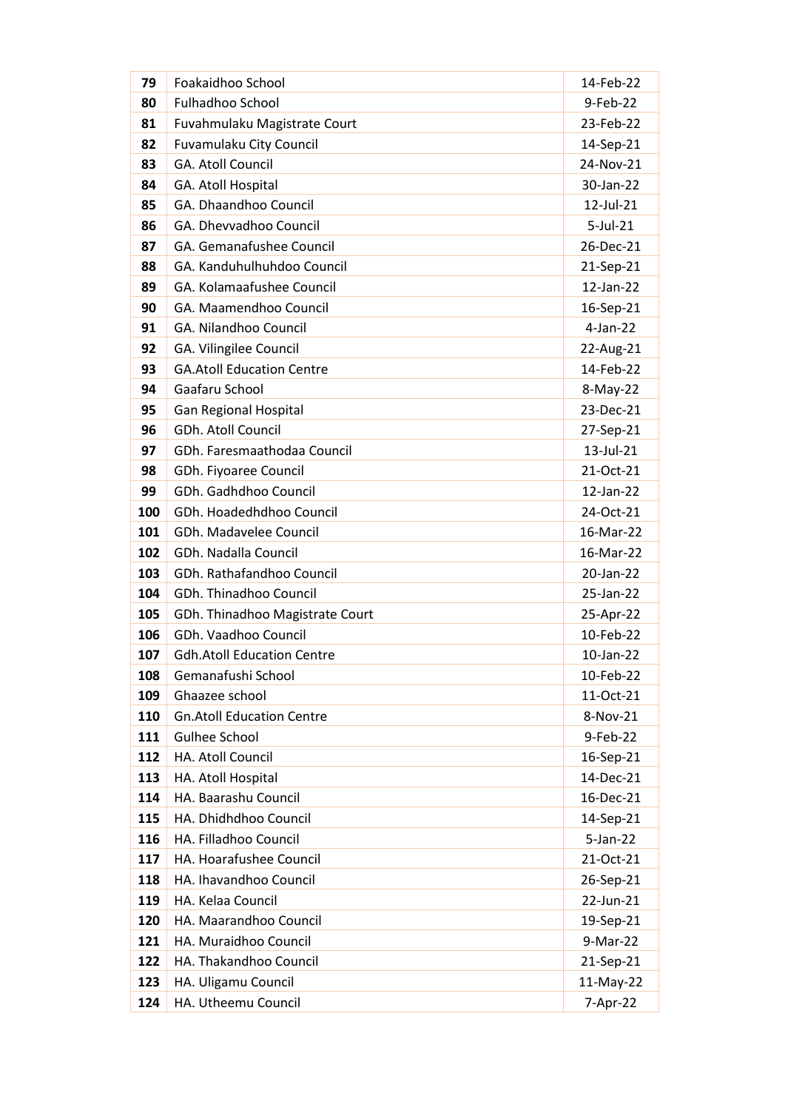| 79  | Foakaidhoo School                 | 14-Feb-22    |
|-----|-----------------------------------|--------------|
| 80  | Fulhadhoo School                  | 9-Feb-22     |
| 81  | Fuvahmulaku Magistrate Court      | 23-Feb-22    |
| 82  | Fuvamulaku City Council           | 14-Sep-21    |
| 83  | <b>GA. Atoll Council</b>          | 24-Nov-21    |
| 84  | GA. Atoll Hospital                | 30-Jan-22    |
| 85  | GA. Dhaandhoo Council             | 12-Jul-21    |
| 86  | GA. Dhevvadhoo Council            | $5$ -Jul-21  |
| 87  | GA. Gemanafushee Council          | 26-Dec-21    |
| 88  | GA. Kanduhulhuhdoo Council        | 21-Sep-21    |
| 89  | GA. Kolamaafushee Council         | 12-Jan-22    |
| 90  | GA. Maamendhoo Council            | 16-Sep-21    |
| 91  | GA. Nilandhoo Council             | $4-Jan-22$   |
| 92  | GA. Vilingilee Council            | 22-Aug-21    |
| 93  | <b>GA.Atoll Education Centre</b>  | 14-Feb-22    |
| 94  | Gaafaru School                    | 8-May-22     |
| 95  | Gan Regional Hospital             | 23-Dec-21    |
| 96  | GDh. Atoll Council                | 27-Sep-21    |
| 97  | GDh. Faresmaathodaa Council       | $13$ -Jul-21 |
| 98  | GDh. Fiyoaree Council             | 21-Oct-21    |
| 99  | GDh. Gadhdhoo Council             | 12-Jan-22    |
| 100 | GDh. Hoadedhdhoo Council          | 24-Oct-21    |
| 101 | GDh. Madavelee Council            | 16-Mar-22    |
| 102 | GDh. Nadalla Council              | 16-Mar-22    |
| 103 | GDh. Rathafandhoo Council         | 20-Jan-22    |
| 104 | GDh. Thinadhoo Council            | 25-Jan-22    |
| 105 | GDh. Thinadhoo Magistrate Court   | 25-Apr-22    |
| 106 | GDh. Vaadhoo Council              | 10-Feb-22    |
| 107 | <b>Gdh.Atoll Education Centre</b> | 10-Jan-22    |
| 108 | Gemanafushi School                | 10-Feb-22    |
| 109 | Ghaazee school                    | 11-Oct-21    |
| 110 | <b>Gn.Atoll Education Centre</b>  | 8-Nov-21     |
| 111 | Gulhee School                     | 9-Feb-22     |
| 112 | HA. Atoll Council                 | 16-Sep-21    |
| 113 | HA. Atoll Hospital                | 14-Dec-21    |
| 114 | HA. Baarashu Council              | 16-Dec-21    |
| 115 | HA. Dhidhdhoo Council             | 14-Sep-21    |
| 116 | HA. Filladhoo Council             | $5$ -Jan-22  |
| 117 | HA. Hoarafushee Council           | 21-Oct-21    |
| 118 | HA. Ihavandhoo Council            | 26-Sep-21    |
| 119 | HA. Kelaa Council                 | 22-Jun-21    |
|     |                                   |              |
| 120 | HA. Maarandhoo Council            | 19-Sep-21    |
| 121 | HA. Muraidhoo Council             | 9-Mar-22     |
| 122 | HA. Thakandhoo Council            | 21-Sep-21    |
| 123 | HA. Uligamu Council               | 11-May-22    |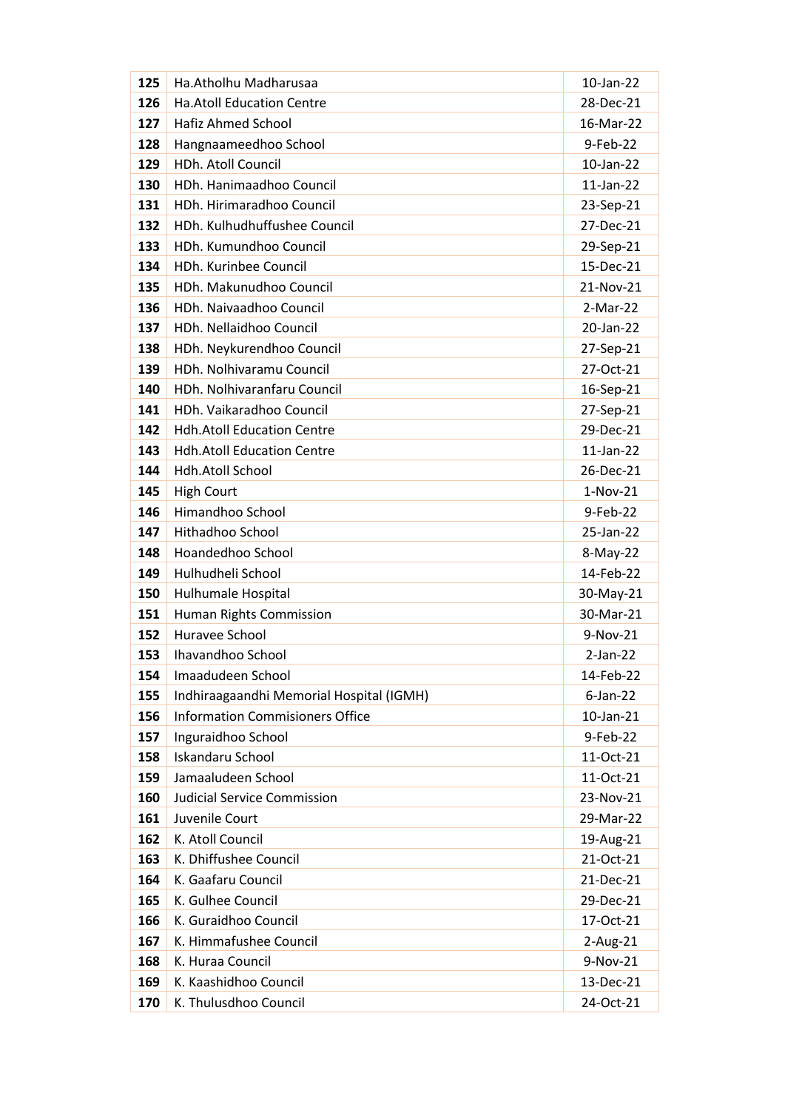| 125 | Ha.Atholhu Madharusaa                    | 10-Jan-22       |
|-----|------------------------------------------|-----------------|
| 126 | <b>Ha.Atoll Education Centre</b>         | 28-Dec-21       |
| 127 | <b>Hafiz Ahmed School</b>                | 16-Mar-22       |
| 128 | Hangnaameedhoo School                    | 9-Feb-22        |
| 129 | HDh. Atoll Council                       | 10-Jan-22       |
| 130 | HDh. Hanimaadhoo Council                 | $11$ -Jan-22    |
| 131 | HDh. Hirimaradhoo Council                | 23-Sep-21       |
| 132 | HDh. Kulhudhuffushee Council             | 27-Dec-21       |
| 133 | HDh. Kumundhoo Council                   | 29-Sep-21       |
| 134 | HDh. Kurinbee Council                    | 15-Dec-21       |
| 135 | HDh. Makunudhoo Council                  | 21-Nov-21       |
| 136 | HDh. Naivaadhoo Council                  | $2-Mar-22$      |
| 137 | HDh. Nellaidhoo Council                  | 20-Jan-22       |
| 138 | HDh. Neykurendhoo Council                | 27-Sep-21       |
| 139 | HDh. Nolhivaramu Council                 | 27-Oct-21       |
| 140 | HDh. Nolhivaranfaru Council              | 16-Sep-21       |
| 141 | HDh. Vaikaradhoo Council                 | 27-Sep-21       |
| 142 | <b>Hdh.Atoll Education Centre</b>        | 29-Dec-21       |
| 143 | <b>Hdh.Atoll Education Centre</b>        | $11$ -Jan-22    |
| 144 | Hdh.Atoll School                         | 26-Dec-21       |
| 145 | <b>High Court</b>                        | $1-Nov-21$      |
| 146 | Himandhoo School                         | 9-Feb-22        |
| 147 | Hithadhoo School                         | 25-Jan-22       |
| 148 | Hoandedhoo School                        | 8-May-22        |
| 149 | Hulhudheli School                        | 14-Feb-22       |
| 150 | Hulhumale Hospital                       | 30-May-21       |
| 151 | Human Rights Commission                  | 30-Mar-21       |
| 152 | Huravee School                           | 9-Nov-21        |
| 153 | Ihavandhoo School                        | $2-Jan-22$      |
| 154 | Imaadudeen School                        | 14-Feb-22       |
| 155 | Indhiraagaandhi Memorial Hospital (IGMH) | $6$ -Jan-22     |
| 156 | <b>Information Commisioners Office</b>   | $10$ -Jan- $21$ |
| 157 | Inguraidhoo School                       | 9-Feb-22        |
| 158 | <b>Iskandaru School</b>                  | 11-Oct-21       |
| 159 | Jamaaludeen School                       | 11-Oct-21       |
| 160 | <b>Judicial Service Commission</b>       | 23-Nov-21       |
| 161 | Juvenile Court                           | 29-Mar-22       |
| 162 | K. Atoll Council                         | 19-Aug-21       |
| 163 | K. Dhiffushee Council                    | 21-Oct-21       |
| 164 | K. Gaafaru Council                       | 21-Dec-21       |
| 165 | K. Gulhee Council                        | 29-Dec-21       |
| 166 | K. Guraidhoo Council                     | 17-Oct-21       |
| 167 | K. Himmafushee Council                   | $2$ -Aug-21     |
| 168 | K. Huraa Council                         | 9-Nov-21        |
| 169 | K. Kaashidhoo Council                    | 13-Dec-21       |
| 170 | K. Thulusdhoo Council                    | 24-Oct-21       |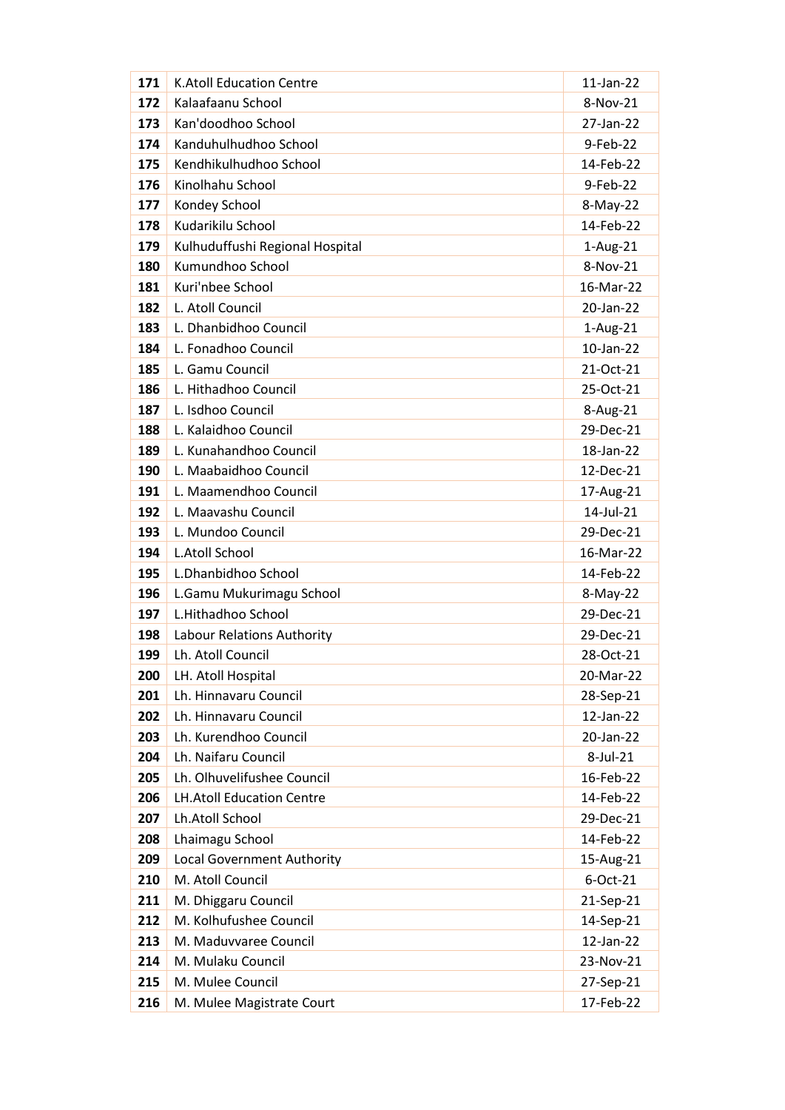| 171 | <b>K.Atoll Education Centre</b>   | $11$ -Jan-22 |
|-----|-----------------------------------|--------------|
| 172 | Kalaafaanu School                 | 8-Nov-21     |
| 173 | Kan'doodhoo School                | 27-Jan-22    |
| 174 | Kanduhulhudhoo School             | 9-Feb-22     |
| 175 | Kendhikulhudhoo School            | 14-Feb-22    |
| 176 | Kinolhahu School                  | 9-Feb-22     |
| 177 | Kondey School                     | 8-May-22     |
| 178 | Kudarikilu School                 | 14-Feb-22    |
| 179 | Kulhuduffushi Regional Hospital   | $1-Aug-21$   |
| 180 | Kumundhoo School                  | 8-Nov-21     |
| 181 | Kuri'nbee School                  | 16-Mar-22    |
| 182 | L. Atoll Council                  | 20-Jan-22    |
| 183 | L. Dhanbidhoo Council             | 1-Aug-21     |
| 184 | L. Fonadhoo Council               | $10$ -Jan-22 |
| 185 | L. Gamu Council                   | 21-Oct-21    |
| 186 | L. Hithadhoo Council              | 25-Oct-21    |
| 187 | L. Isdhoo Council                 | 8-Aug-21     |
| 188 | L. Kalaidhoo Council              | 29-Dec-21    |
| 189 | L. Kunahandhoo Council            | 18-Jan-22    |
| 190 | L. Maabaidhoo Council             | 12-Dec-21    |
| 191 | L. Maamendhoo Council             | 17-Aug-21    |
| 192 | L. Maavashu Council               | 14-Jul-21    |
| 193 | L. Mundoo Council                 | 29-Dec-21    |
| 194 | <b>L.Atoll School</b>             | 16-Mar-22    |
| 195 | L.Dhanbidhoo School               | 14-Feb-22    |
| 196 | L.Gamu Mukurimagu School          | 8-May-22     |
| 197 | L.Hithadhoo School                | 29-Dec-21    |
| 198 | Labour Relations Authority        | 29-Dec-21    |
| 199 | Lh. Atoll Council                 | 28-Oct-21    |
| 200 | LH. Atoll Hospital                | 20-Mar-22    |
| 201 | Lh. Hinnavaru Council             | 28-Sep-21    |
| 202 | Lh. Hinnavaru Council             | 12-Jan-22    |
| 203 | Lh. Kurendhoo Council             | 20-Jan-22    |
| 204 | Lh. Naifaru Council               | 8-Jul-21     |
| 205 | Lh. Olhuvelifushee Council        | 16-Feb-22    |
| 206 | <b>LH.Atoll Education Centre</b>  | 14-Feb-22    |
| 207 | Lh.Atoll School                   | 29-Dec-21    |
| 208 | Lhaimagu School                   | 14-Feb-22    |
| 209 | <b>Local Government Authority</b> | 15-Aug-21    |
| 210 | M. Atoll Council                  | 6-Oct-21     |
| 211 | M. Dhiggaru Council               | 21-Sep-21    |
| 212 | M. Kolhufushee Council            | 14-Sep-21    |
| 213 | M. Maduvvaree Council             | 12-Jan-22    |
| 214 | M. Mulaku Council                 | 23-Nov-21    |
| 215 | M. Mulee Council                  | 27-Sep-21    |
| 216 | M. Mulee Magistrate Court         | 17-Feb-22    |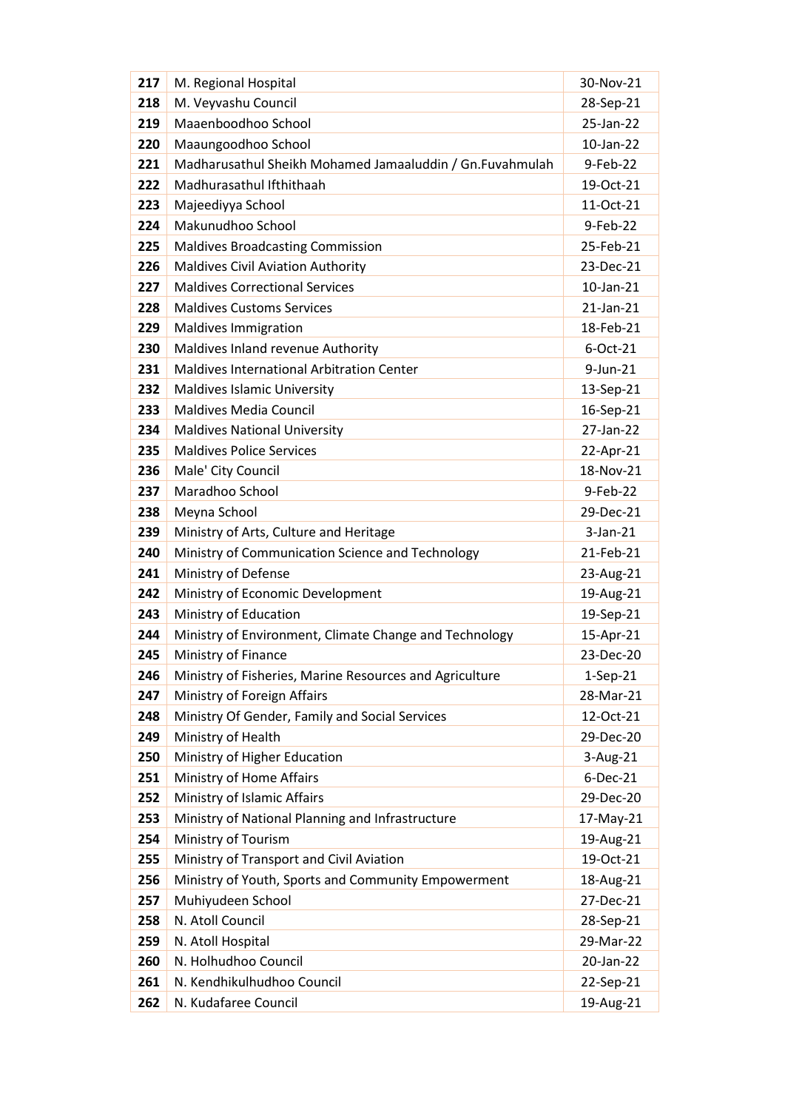| 217 | M. Regional Hospital                                     | 30-Nov-21       |
|-----|----------------------------------------------------------|-----------------|
| 218 | M. Veyvashu Council                                      | 28-Sep-21       |
| 219 | Maaenboodhoo School                                      | 25-Jan-22       |
| 220 | Maaungoodhoo School                                      | 10-Jan-22       |
| 221 | Madharusathul Sheikh Mohamed Jamaaluddin / Gn.Fuvahmulah | 9-Feb-22        |
| 222 | Madhurasathul Ifthithaah                                 | 19-Oct-21       |
| 223 | Majeediyya School                                        | 11-Oct-21       |
| 224 | Makunudhoo School                                        | 9-Feb-22        |
| 225 | <b>Maldives Broadcasting Commission</b>                  | 25-Feb-21       |
| 226 | <b>Maldives Civil Aviation Authority</b>                 | 23-Dec-21       |
| 227 | <b>Maldives Correctional Services</b>                    | $10$ -Jan- $21$ |
| 228 | <b>Maldives Customs Services</b>                         | $21$ -Jan- $21$ |
| 229 | Maldives Immigration                                     | 18-Feb-21       |
| 230 | Maldives Inland revenue Authority                        | $6$ -Oct-21     |
| 231 | Maldives International Arbitration Center                | $9$ -Jun-21     |
| 232 | <b>Maldives Islamic University</b>                       | 13-Sep-21       |
| 233 | <b>Maldives Media Council</b>                            | 16-Sep-21       |
| 234 | <b>Maldives National University</b>                      | 27-Jan-22       |
| 235 | <b>Maldives Police Services</b>                          | 22-Apr-21       |
| 236 | Male' City Council                                       | 18-Nov-21       |
| 237 | Maradhoo School                                          | 9-Feb-22        |
| 238 | Meyna School                                             | 29-Dec-21       |
| 239 | Ministry of Arts, Culture and Heritage                   | $3$ -Jan- $21$  |
| 240 | Ministry of Communication Science and Technology         | 21-Feb-21       |
| 241 | Ministry of Defense                                      | 23-Aug-21       |
| 242 | Ministry of Economic Development                         | 19-Aug-21       |
| 243 | Ministry of Education                                    | 19-Sep-21       |
| 244 | Ministry of Environment, Climate Change and Technology   | 15-Apr-21       |
| 245 | Ministry of Finance                                      | 23-Dec-20       |
| 246 | Ministry of Fisheries, Marine Resources and Agriculture  | $1-Sep-21$      |
| 247 | Ministry of Foreign Affairs                              | 28-Mar-21       |
| 248 | Ministry Of Gender, Family and Social Services           | 12-Oct-21       |
| 249 | Ministry of Health                                       | 29-Dec-20       |
| 250 | Ministry of Higher Education                             | 3-Aug-21        |
| 251 | Ministry of Home Affairs                                 | 6-Dec-21        |
| 252 | Ministry of Islamic Affairs                              | 29-Dec-20       |
| 253 | Ministry of National Planning and Infrastructure         | 17-May-21       |
| 254 | Ministry of Tourism                                      | 19-Aug-21       |
| 255 | Ministry of Transport and Civil Aviation                 | 19-Oct-21       |
| 256 | Ministry of Youth, Sports and Community Empowerment      | 18-Aug-21       |
| 257 | Muhiyudeen School                                        | 27-Dec-21       |
| 258 | N. Atoll Council                                         | 28-Sep-21       |
| 259 | N. Atoll Hospital                                        | 29-Mar-22       |
| 260 | N. Holhudhoo Council                                     | 20-Jan-22       |
| 261 | N. Kendhikulhudhoo Council                               | 22-Sep-21       |
| 262 | N. Kudafaree Council                                     | 19-Aug-21       |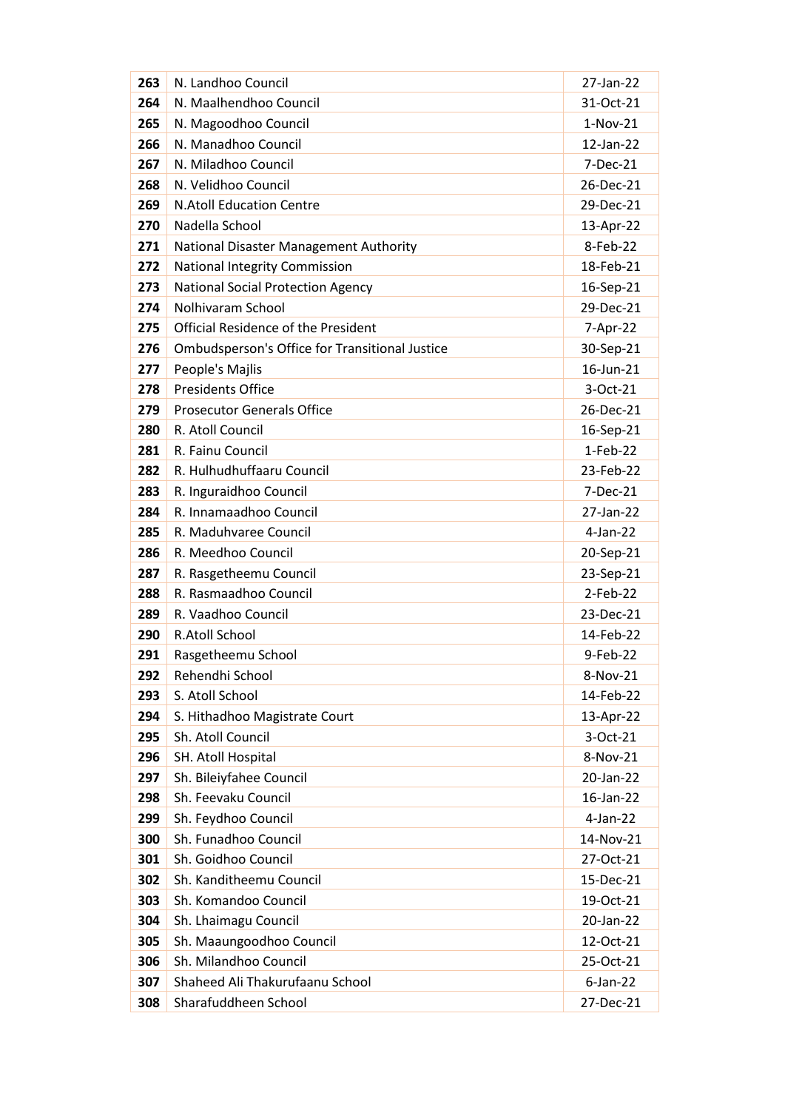| 263 | N. Landhoo Council                             | 27-Jan-22   |
|-----|------------------------------------------------|-------------|
| 264 | N. Maalhendhoo Council                         | 31-Oct-21   |
| 265 | N. Magoodhoo Council                           | $1-Nov-21$  |
| 266 | N. Manadhoo Council                            | 12-Jan-22   |
| 267 | N. Miladhoo Council                            | $7-Dec-21$  |
| 268 | N. Velidhoo Council                            | 26-Dec-21   |
| 269 | <b>N.Atoll Education Centre</b>                | 29-Dec-21   |
| 270 | Nadella School                                 | 13-Apr-22   |
| 271 | National Disaster Management Authority         | 8-Feb-22    |
| 272 | National Integrity Commission                  | 18-Feb-21   |
| 273 | <b>National Social Protection Agency</b>       | 16-Sep-21   |
| 274 | Nolhivaram School                              | 29-Dec-21   |
| 275 | <b>Official Residence of the President</b>     | 7-Apr-22    |
| 276 | Ombudsperson's Office for Transitional Justice | 30-Sep-21   |
| 277 | People's Majlis                                | 16-Jun-21   |
| 278 | <b>Presidents Office</b>                       | 3-Oct-21    |
| 279 | <b>Prosecutor Generals Office</b>              | 26-Dec-21   |
| 280 | R. Atoll Council                               | 16-Sep-21   |
| 281 | R. Fainu Council                               | $1-Feb-22$  |
| 282 | R. Hulhudhuffaaru Council                      | 23-Feb-22   |
| 283 | R. Inguraidhoo Council                         | 7-Dec-21    |
| 284 | R. Innamaadhoo Council                         | 27-Jan-22   |
| 285 | R. Maduhvaree Council                          | $4-Jan-22$  |
| 286 | R. Meedhoo Council                             | 20-Sep-21   |
| 287 | R. Rasgetheemu Council                         | 23-Sep-21   |
| 288 | R. Rasmaadhoo Council                          | $2-Feb-22$  |
| 289 | R. Vaadhoo Council                             | 23-Dec-21   |
| 290 | R.Atoll School                                 | 14-Feb-22   |
| 291 | Rasgetheemu School                             | 9-Feb-22    |
| 292 | Rehendhi School                                | 8-Nov-21    |
| 293 | S. Atoll School                                | 14-Feb-22   |
| 294 | S. Hithadhoo Magistrate Court                  | 13-Apr-22   |
| 295 | Sh. Atoll Council                              | 3-Oct-21    |
| 296 | SH. Atoll Hospital                             | 8-Nov-21    |
| 297 | Sh. Bileiyfahee Council                        | 20-Jan-22   |
| 298 | Sh. Feevaku Council                            | 16-Jan-22   |
| 299 | Sh. Feydhoo Council                            | 4-Jan-22    |
| 300 | Sh. Funadhoo Council                           | 14-Nov-21   |
| 301 | Sh. Goidhoo Council                            | 27-Oct-21   |
| 302 | Sh. Kanditheemu Council                        | 15-Dec-21   |
| 303 | Sh. Komandoo Council                           | 19-Oct-21   |
| 304 | Sh. Lhaimagu Council                           | 20-Jan-22   |
| 305 | Sh. Maaungoodhoo Council                       | 12-Oct-21   |
| 306 | Sh. Milandhoo Council                          | 25-Oct-21   |
| 307 | Shaheed Ali Thakurufaanu School                | $6$ -Jan-22 |
| 308 | Sharafuddheen School                           | 27-Dec-21   |